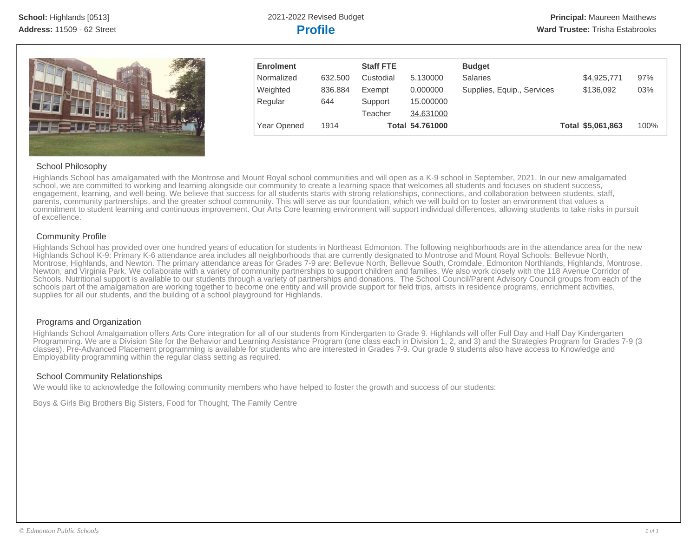

| <b>Enrolment</b> |         | <b>Staff FTE</b> |                 | <b>Budget</b>              |                   |      |
|------------------|---------|------------------|-----------------|----------------------------|-------------------|------|
| Normalized       | 632,500 | Custodial        | 5.130000        | <b>Salaries</b>            | \$4,925,771       | 97%  |
| Weighted         | 836.884 | Exempt           | 0.000000        | Supplies, Equip., Services | \$136,092         | 03%  |
| Regular          | 644     | Support          | 15.000000       |                            |                   |      |
|                  |         | Teacher          | 34.631000       |                            |                   |      |
| Year Opened      | 1914    |                  | Total 54.761000 |                            | Total \$5,061,863 | 100% |

# School Philosophy

Highlands School has amalgamated with the Montrose and Mount Royal school communities and will open as a K-9 school in September, 2021. In our new amalgamated school, we are committed to working and learning alongside our community to create a learning space that welcomes all students and focuses on student success, engagement, learning, and well-being. We believe that success for all students starts with strong relationships, connections, and collaboration between students, staff, parents, community partnerships, and the greater school community. This will serve as our foundation, which we will build on to foster an environment that values a commitment to student learning and continuous improvement. Our Arts Core learning environment will support individual differences, allowing students to take risks in pursuit of excellence.

# Community Profile

Highlands School has provided over one hundred years of education for students in Northeast Edmonton. The following neighborhoods are in the attendance area for the new Highlands School K-9: Primary K-6 attendance area includes all neighborhoods that are currently designated to Montrose and Mount Royal Schools: Bellevue North, Montrose, Highlands, and Newton. The primary attendance areas for Grades 7-9 are: Bellevue North, Bellevue South, Cromdale, Edmonton Northlands, Highlands, Montrose, Newton, and Virginia Park. We collaborate with a variety of community partnerships to support children and families. We also work closely with the 118 Avenue Corridor of Schools. Nutritional support is available to our students through a variety of partnerships and donations. The School Council/Parent Advisory Council groups from each of the schools part of the amalgamation are working together to become one entity and will provide support for field trips, artists in residence programs, enrichment activities, supplies for all our students, and the building of a school playground for Highlands.

# Programs and Organization

Highlands School Amalgamation offers Arts Core integration for all of our students from Kindergarten to Grade 9. Highlands will offer Full Day and Half Day Kindergarten Programming. We are a Division Site for the Behavior and Learning Assistance Program (one class each in Division 1, 2, and 3) and the Strategies Program for Grades 7-9 (3 classes). Pre-Advanced Placement programming is available for students who are interested in Grades 7-9. Our grade 9 students also have access to Knowledge and Employability programming within the regular class setting as required.

# School Community Relationships

We would like to acknowledge the following community members who have helped to foster the growth and success of our students:

Boys & Girls Big Brothers Big Sisters, Food for Thought, The Family Centre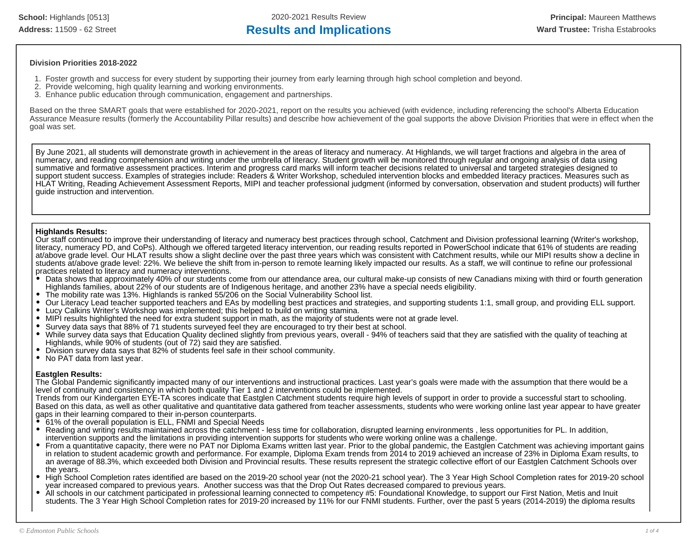# **Division Priorities 2018-2022**

- 1. Foster growth and success for every student by supporting their journey from early learning through high school completion and beyond.
- 2. Provide welcoming, high quality learning and working environments.
- 3. Enhance public education through communication, engagement and partnerships.

Based on the three SMART goals that were established for 2020-2021, report on the results you achieved (with evidence, including referencing the school's Alberta Education Assurance Measure results (formerly the Accountability Pillar results) and describe how achievement of the goal supports the above Division Priorities that were in effect when the goal was set.

By June 2021, all students will demonstrate growth in achievement in the areas of literacy and numeracy. At Highlands, we will target fractions and algebra in the area of numeracy, and reading comprehension and writing under the umbrella of literacy. Student growth will be monitored through regular and ongoing analysis of data using summative and formative assessment practices. Interim and progress card marks will inform teacher decisions related to universal and targeted strategies designed to support student success. Examples of strategies include: Readers & Writer Workshop, scheduled intervention blocks and embedded literacy practices. Measures such as HLAT Writing, Reading Achievement Assessment Reports, MIPI and teacher professional judgment (informed by conversation, observation and student products) will further guide instruction and intervention.

### **Highlands Results:**

Our staff continued to improve their understanding of literacy and numeracy best practices through school, Catchment and Division professional learning (Writer's workshop, literacy, numeracy PD, and CoPs). Although we offered targeted literacy intervention, our reading results reported in PowerSchool indicate that 61% of students are reading at/above grade level. Our HLAT results show a slight decline over the past three years which was consistent with Catchment results, while our MIPI results show a decline in students at/above grade level: 22%. We believe the shift from in-person to remote learning likely impacted our results. As a staff, we will continue to refine our professional practices related to literacy and numeracy interventions.

- Data shows that approximately 40% of our students come from our attendance area, our cultural make-up consists of new Canadians mixing with third or fourth generation Highlands families, about 22% of our students are of Indigenous heritage, and another 23% have a special needs eligibility.
- The mobility rate was 13%. Highlands is ranked 55/206 on the Social Vulnerability School list.
- Our Literacy Lead teacher supported teachers and EAs by modelling best practices and strategies, and supporting students 1:1, small group, and providing ELL support.
- Lucy Calkins Writer's Workshop was implemented; this helped to build on writing stamina.
- MIPI results highlighted the need for extra student support in math, as the majority of students were not at grade level.
- Survey data says that 88% of 71 students surveyed feel they are encouraged to try their best at school.
- $\bullet$ While survey data says that Education Quality declined slightly from previous years, overall - 94% of teachers said that they are satisfied with the quality of teaching at Highlands, while 90% of students (out of 72) said they are satisfied.
- Division survey data says that 82% of students feel safe in their school community.
- No PAT data from last year.

# **Eastglen Results:**

The Global Pandemic significantly impacted many of our interventions and instructional practices. Last year's goals were made with the assumption that there would be a level of continuity and consistency in which both quality Tier 1 and 2 interventions could be implemented.

Trends from our Kindergarten EYE-TA scores indicate that Eastglen Catchment students require high levels of support in order to provide a successful start to schooling. Based on this data, as well as other qualitative and quantitative data gathered from teacher assessments, students who were working online last year appear to have greater gaps in their learning compared to their in-person counterparts.

- 61% of the overall population is ELL, FNMI and Special Needs
- Reading and writing results maintained across the catchment less time for collaboration, disrupted learning environments , less opportunities for PL. In addition, intervention supports and the limitations in providing intervention supports for students who were working online was a challenge.
- From a quantitative capacity, there were no PAT nor Diploma Exams written last year. Prior to the global pandemic, the Eastglen Catchment was achieving important gains in relation to student academic growth and performance. For example, Diploma Exam trends from 2014 to 2019 achieved an increase of 23% in Diploma Exam results, to an average of 88.3%, which exceeded both Division and Provincial results. These results represent the strategic collective effort of our Eastglen Catchment Schools over the years.
- High School Completion rates identified are based on the 2019-20 school year (not the 2020-21 school year). The 3 Year High School Completion rates for 2019-20 school year increased compared to previous years. Another success was that the Drop Out Rates decreased compared to previous years.
- All schools in our catchment participated in professional learning connected to competency #5: Foundational Knowledge, to support our First Nation, Metis and Inuit students. The 3 Year High School Completion rates for 2019-20 increased by 11% for our FNMI students. Further, over the past 5 years (2014-2019) the diploma results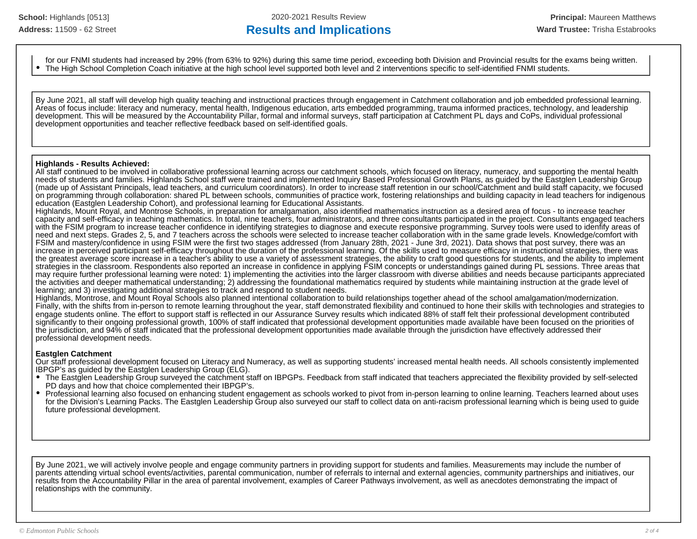# Address: 11509 - 62 Street **Results and Implications Results and Implications Ward Trustee:** Trisha Estabrooks

for our FNMI students had increased by 29% (from 63% to 92%) during this same time period, exceeding both Division and Provincial results for the exams being written. The High School Completion Coach initiative at the high school level supported both level and 2 interventions specific to self-identified FNMI students.

By June 2021, all staff will develop high quality teaching and instructional practices through engagement in Catchment collaboration and job embedded professional learning. Areas of focus include: literacy and numeracy, mental health, Indigenous education, arts embedded programming, trauma informed practices, technology, and leadership development. This will be measured by the Accountability Pillar, formal and informal surveys, staff participation at Catchment PL days and CoPs, individual professional development opportunities and teacher reflective feedback based on self-identified goals.

#### **Highlands - Results Achieved:**

All staff continued to be involved in collaborative professional learning across our catchment schools, which focused on literacy, numeracy, and supporting the mental health needs of students and families. Highlands School staff were trained and implemented Inquiry Based Professional Growth Plans, as guided by the Eastglen Leadership Group (made up of Assistant Principals, lead teachers, and curriculum coordinators). In order to increase staff retention in our school/Catchment and build staff capacity, we focused on programming through collaboration: shared PL between schools, communities of practice work, fostering relationships and building capacity in lead teachers for indigenous education (Eastglen Leadership Cohort), and professional learning for Educational Assistants.

Highlands, Mount Royal, and Montrose Schools, in preparation for amalgamation, also identified mathematics instruction as a desired area of focus - to increase teacher capacity and self-efficacy in teaching mathematics. In total, nine teachers, four administrators, and three consultants participated in the project. Consultants engaged teachers with the FSIM program to increase teacher confidence in identifying strategies to diagnose and execute responsive programming. Survey tools were used to identify areas of need and next steps. Grades 2, 5, and 7 teachers across the schools were selected to increase teacher collaboration with in the same grade levels. Knowledge/comfort with FSIM and mastery/confidence in using FSIM were the first two stages addressed (from January 28th, 2021 - June 3rd, 2021). Data shows that post survey, there was an increase in perceived participant self-efficacy throughout the duration of the professional learning. Of the skills used to measure efficacy in instructional strategies, there was the greatest average score increase in a teacher's ability to use a variety of assessment strategies, the ability to craft good questions for students, and the ability to implement strategies in the classroom. Respondents also reported an increase in confidence in applying FSIM concepts or understandings gained during PL sessions. Three areas that may require further professional learning were noted: 1) implementing the activities into the larger classroom with diverse abilities and needs because participants appreciated the activities and deeper mathematical understanding; 2) addressing the foundational mathematics required by students while maintaining instruction at the grade level of learning; and 3) investigating additional strategies to track and respond to student needs.

Highlands, Montrose, and Mount Royal Schools also planned intentional collaboration to build relationships together ahead of the school amalgamation/modernization. Finally, with the shifts from in-person to remote learning throughout the year, staff demonstrated flexibility and continued to hone their skills with technologies and strategies to engage students online. The effort to support staff is reflected in our Assurance Survey results which indicated 88% of staff felt their professional development contributed significantly to their ongoing professional growth, 100% of staff indicated that professional development opportunities made available have been focused on the priorities of the jurisdiction, and 94% of staff indicated that the professional development opportunities made available through the jurisdiction have effectively addressed their professional development needs.

### **Eastglen Catchment**

Our staff professional development focused on Literacy and Numeracy, as well as supporting students' increased mental health needs. All schools consistently implemented IBPGP's as guided by the Eastglen Leadership Group (ELG).

- The Eastglen Leadership Group surveyed the catchment staff on IBPGPs. Feedback from staff indicated that teachers appreciated the flexibility provided by self-selected PD days and how that choice complemented their IBPGP's.
- Professional learning also focused on enhancing student engagement as schools worked to pivot from in-person learning to online learning. Teachers learned about uses for the Division's Learning Packs. The Eastglen Leadership Group also surveyed our staff to collect data on anti-racism professional learning which is being used to guide future professional development.

By June 2021, we will actively involve people and engage community partners in providing support for students and families. Measurements may include the number of parents attending virtual school events/activities, parental communication, number of referrals to internal and external agencies, community partnerships and initiatives, our results from the Accountability Pillar in the area of parental involvement, examples of Career Pathways involvement, as well as anecdotes demonstrating the impact of relationships with the community.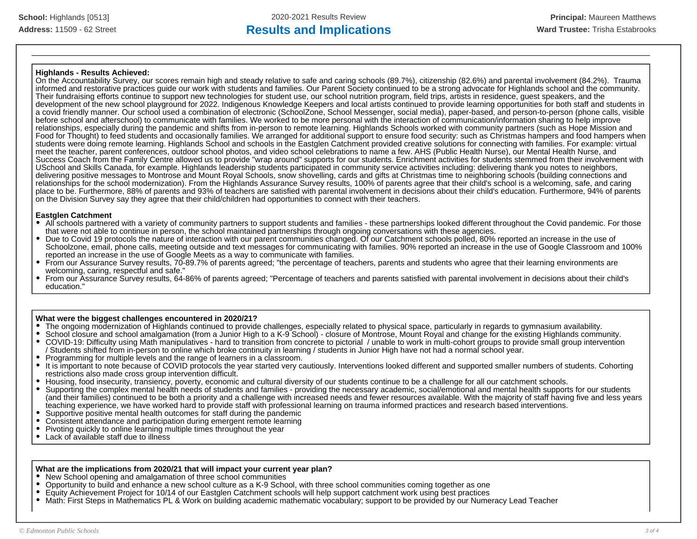#### **Highlands - Results Achieved:**

On the Accountability Survey, our scores remain high and steady relative to safe and caring schools (89.7%), citizenship (82.6%) and parental involvement (84.2%). Trauma informed and restorative practices guide our work with students and families. Our Parent Society continued to be a strong advocate for Highlands school and the community. Their fundraising efforts continue to support new technologies for student use, our school nutrition program, field trips, artists in residence, guest speakers, and the development of the new school playground for 2022. Indigenous Knowledge Keepers and local artists continued to provide learning opportunities for both staff and students in a covid friendly manner. Our school used a combination of electronic (SchoolZone, School Messenger, social media), paper-based, and person-to-person (phone calls, visible before school and afterschool) to communicate with families. We worked to be more personal with the interaction of communication/information sharing to help improve relationships, especially during the pandemic and shifts from in-person to remote learning. Highlands Schools worked with community partners (such as Hope Mission and Food for Thought) to feed students and occasionally families. We arranged for additional support to ensure food security: such as Christmas hampers and food hampers when students were doing remote learning. Highlands School and schools in the Eastglen Catchment provided creative solutions for connecting with families. For example: virtual meet the teacher, parent conferences, outdoor school photos, and video school celebrations to name a few. AHS (Public Health Nurse), our Mental Health Nurse, and Success Coach from the Family Centre allowed us to provide "wrap around" supports for our students. Enrichment activities for students stemmed from their involvement with USchool and Skills Canada, for example. Highlands leadership students participated in community service activities including: delivering thank you notes to neighbors, delivering positive messages to Montrose and Mount Royal Schools, snow shovelling, cards and gifts at Christmas time to neighboring schools (building connections and relationships for the school modernization). From the Highlands Assurance Survey results, 100% of parents agree that their child's school is a welcoming, safe, and caring place to be. Furthermore, 88% of parents and 93% of teachers are satisfied with parental involvement in decisions about their child's education. Furthermore, 94% of parents on the Division Survey say they agree that their child/children had opportunities to connect with their teachers.

#### **Eastglen Catchment**

- All schools partnered with a variety of community partners to support students and families these partnerships looked different throughout the Covid pandemic. For those that were not able to continue in person, the school maintained partnerships through ongoing conversations with these agencies.
- Due to Covid 19 protocols the nature of interaction with our parent communities changed. Of our Catchment schools polled, 80% reported an increase in the use of Schoolzone, email, phone calls, meeting outside and text messages for communicating with families. 90% reported an increase in the use of Google Classroom and 100% reported an increase in the use of Google Meets as a way to communicate with families.
- From our Assurance Survey results, 70-89.7% of parents agreed; "the percentage of teachers, parents and students who agree that their learning environments are welcoming, caring, respectful and safe."
- From our Assurance Survey results, 64-86% of parents agreed; "Percentage of teachers and parents satisfied with parental involvement in decisions about their child's education."

#### **What were the biggest challenges encountered in 2020/21?**

- The ongoing modernization of Highlands continued to provide challenges, especially related to physical space, particularly in regards to gymnasium availability.
- School closure and school amalgamation (from a Junior High to a K-9 School) closure of Montrose, Mount Royal and change for the existing Highlands community.
- $\bullet$ COVID-19: Difficulty using Math manipulatives - hard to transition from concrete to pictorial / unable to work in multi-cohort groups to provide small group intervention / Students shifted from in-person to online which broke continuity in learning / students in Junior High have not had a normal school year.
- Programming for multiple levels and the range of learners in a classroom.
- It is important to note because of COVID protocols the year started very cautiously. Interventions looked different and supported smaller numbers of students. Cohorting restrictions also made cross group intervention difficult.
- Housing, food insecurity, transiency, poverty, economic and cultural diversity of our students continue to be a challenge for all our catchment schools.
- Supporting the complex mental health needs of students and families providing the necessary academic, social/emotional and mental health supports for our students (and their families) continued to be both a priority and a challenge with increased needs and fewer resources available. With the majority of staff having five and less years teaching experience, we have worked hard to provide staff with professional learning on trauma informed practices and research based interventions.
- Supportive positive mental health outcomes for staff during the pandemic
- Consistent attendance and participation during emergent remote learning
- Pivoting quickly to online learning multiple times throughout the year
- Lack of available staff due to illness

#### **What are the implications from 2020/21 that will impact your current year plan?**

- New School opening and amalgamation of three school communities
- Opportunity to build and enhance a new school culture as a K-9 School, with three school communities coming together as one
- $\bullet$ Equity Achievement Project for 10/14 of our Eastglen Catchment schools will help support catchment work using best practices
- $\bullet$ Math: First Steps in Mathematics PL & Work on building academic mathematic vocabulary; support to be provided by our Numeracy Lead Teacher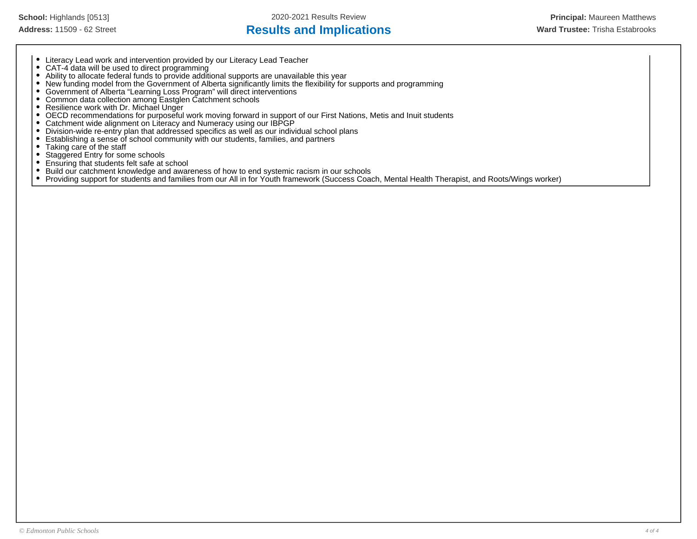# Address: 11509 - 62 Street **Results and Implications Results and Implications Ward Trustee:** Trisha Estabrooks

- 
- Literacy Lead work and intervention provided by our Literacy Lead Teacher CAT-4 data will be used to direct programming
- Ability to allocate federal funds to provide additional supports are unavailable this year
- New funding model from the Government of Alberta significantly limits the flexibility for supports and programming
- Government of Alberta "Learning Loss Program" will direct interventions
- Common data collection among Eastglen Catchment schools
- Resilience work with Dr. Michael Unger
- $\bullet$ OECD recommendations for purposeful work moving forward in support of our First Nations, Metis and Inuit students
- $\bullet$ Catchment wide alignment on Literacy and Numeracy using our IBPGP
- $\bullet$ Division-wide re-entry plan that addressed specifics as well as our individual school plans
- Establishing a sense of school community with our students, families, and partners  $\bullet$
- $\bullet$ Taking care of the staff
- $\bullet$ Staggered Entry for some schools
- Ensuring that students felt safe at school  $\bullet$
- Build our catchment knowledge and awareness of how to end systemic racism in our schools  $\bullet$
- $\bullet$ Providing support for students and families from our All in for Youth framework (Success Coach, Mental Health Therapist, and Roots/Wings worker)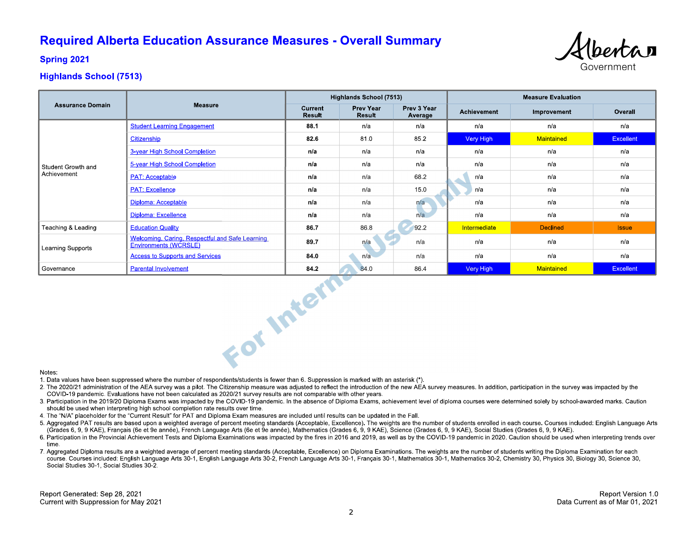# **Required Alberta Education Assurance Measures - Overall Summary**



**Spring 2021** 

# **Highlands School (7513)**

|                                   |                                                                          | Highlands School (7513) |                     |                        | <b>Measure Evaluation</b> |                 |                  |
|-----------------------------------|--------------------------------------------------------------------------|-------------------------|---------------------|------------------------|---------------------------|-----------------|------------------|
| <b>Assurance Domain</b>           | <b>Measure</b>                                                           | Current<br>Result       | Prev Year<br>Result | Prev 3 Year<br>Average | Achievement               | Improvement     | Overall          |
|                                   | <b>Student Learning Engagement</b>                                       | 88 1                    | n/a                 | n/a                    | n/a                       | n/a             | n/a              |
| Student Growth and<br>Achievement | Citizenship                                                              | 82.6                    | 81.0                | 85.2                   | Very High                 | Maintained      | <b>Excellent</b> |
|                                   | 3-year High School Completion                                            | n/a                     | n/a                 | n/a                    | n/a                       | n/a             | n/a              |
|                                   | 5-year High School Completion                                            | n/a                     | n/a                 | n/a                    | n/a                       | n/a             | n/a              |
|                                   | <b>PAT: Acceptable</b>                                                   | n/a                     | n/a                 | 68.2                   | n/a                       | n/a             | n/a              |
|                                   | <b>PAT: Excellence</b>                                                   | n/a                     | n/a                 | 15.0                   | n/a                       | n/a             | n/a              |
|                                   | Diploma: Acceptable                                                      | n/a                     | n/a                 | n/a                    | n/a                       | n/a             | n/a              |
|                                   | Diploma: Excellence                                                      | n/a                     | n/a                 | n/a                    | n/a                       | n/a             | n/a              |
| Teaching & Leading                | <b>Education Quality</b>                                                 | 86.7                    | 86.8                | 92.2                   | Intermediate              | <b>Declined</b> | <b>Issue</b>     |
| Learning Supports                 | Welcoming, Caring, Respectful and Safe Learning<br>Environments (WCRSLE) | 89.7                    | n/a                 | n/a                    | n/a                       | n/a             | n/a              |
|                                   | <b>Access to Supports and Services</b>                                   | 84.0                    | n/a                 | n/a                    | n/a                       | n/a             | n/a              |
| Governance                        | <b>Parental Involvement</b>                                              | 84.2                    | 84.0                | 86.4                   | Very High                 | Maintained      | Excellent        |
| Notes.                            | For Intern                                                               |                         |                     |                        |                           |                 |                  |

#### Notes:

1. Data values have been suppressed where the number of respondents/students is fewer than 6. Suppression is marked with an asterisk (\*).

- 2. The 2020/21 administration of the AEA survey was a pilot. The Citizenship measure was adjusted to reflect the introduction of the new AEA survey measures. In addition, participation in the survey was impacted by the COVID-19 pandemic. Evaluations have not been calculated as 2020/21 survey results are not comparable with other years.
- 3. Participation in the 2019/20 Diploma Exams was impacted by the COVID-19 pandemic. In the absence of Diploma Exams, achievement level of diploma courses were determined solely by school-awarded marks. Caution should be used when interpreting high school completion rate results over time.
- 4. The "N/A" placeholder for the "Current Result" for PAT and Diploma Exam measures are included until results can be updated in the Fall.
- 5. Aggregated PAT results are based upon a weighted average of percent meeting standards (Acceptable, Excellence). The weights are the number of students enrolled in each course. Courses included: English Language Arts (Grades 6, 9, 9 KAE), Français (6e et 9e année), French Language Arts (6e et 9e année), Mathematics (Grades 6, 9, 9 KAE), Science (Grades 6, 9, 9 KAE), Social Studies (Grades 6, 9, 9 KAE).
- 6. Participation in the Provincial Achievement Tests and Diploma Examinations was impacted by the fires in 2016 and 2019, as well as by the COVID-19 pandemic in 2020. Caution should be used when interpreting trends over time
- 7. Aggregated Diploma results are a weighted average of percent meeting standards (Acceptable, Excellence) on Diploma Examinations. The weights are the number of students writing the Diploma Examination for each course. Courses included: English Language Arts 30-1, English Language Arts 30-2, French Language Arts 30-1, Français 30-1, Mathematics 30-1, Mathematics 30-2, Chemistry 30, Physics 30, Biology 30, Science 30, Social Studies 30-1, Social Studies 30-2.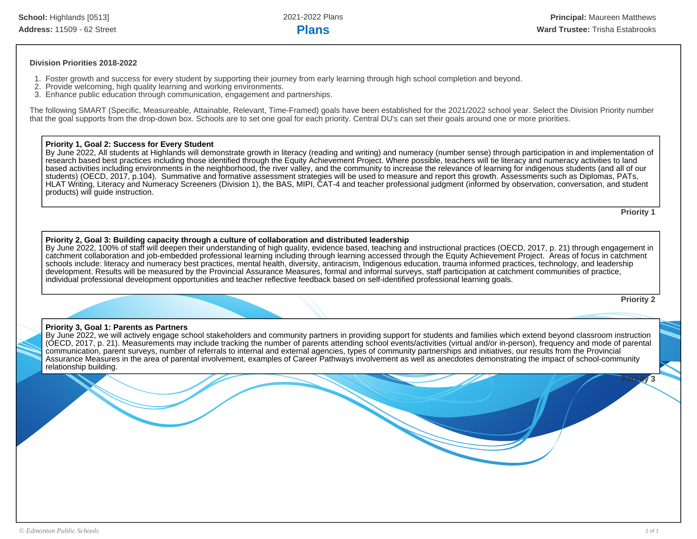#### **Division Priorities 2018-2022**

- 1. Foster growth and success for every student by supporting their journey from early learning through high school completion and beyond.
- 2. Provide welcoming, high quality learning and working environments.
- 3. Enhance public education through communication, engagement and partnerships.

The following SMART (Specific, Measureable, Attainable, Relevant, Time-Framed) goals have been established for the 2021/2022 school year. Select the Division Priority number that the goal supports from the drop-down box. Schools are to set one goal for each priority. Central DU's can set their goals around one or more priorities.

#### **Priority 1, Goal 2: Success for Every Student**

By June 2022, All students at Highlands will demonstrate growth in literacy (reading and writing) and numeracy (number sense) through participation in and implementation of research based best practices including those identified through the Equity Achievement Project. Where possible, teachers will tie literacy and numeracy activities to land based activities including environments in the neighborhood, the river valley, and the community to increase the relevance of learning for indigenous students (and all of our students) (OECD, 2017, p.104). Summative and formative assessment strategies will be used to measure and report this growth. Assessments such as Diplomas, PATs, HLAT Writing, Literacy and Numeracy Screeners (Division 1), the BAS, MIPI, CAT-4 and teacher professional judgment (informed by observation, conversation, and student products) will guide instruction.

**Priority 1**

#### **Priority 2, Goal 3: Building capacity through a culture of collaboration and distributed leadership**

By June 2022, 100% of staff will deepen their understanding of high quality, evidence based, teaching and instructional practices (OECD, 2017, p. 21) through engagement in catchment collaboration and job-embedded professional learning including through learning accessed through the Equity Achievement Project. Areas of focus in catchment schools include: literacy and numeracy best practices, mental health, diversity, antiracism, Indigenous education, trauma informed practices, technology, and leadership development. Results will be measured by the Provincial Assurance Measures, formal and informal surveys, staff participation at catchment communities of practice, individual professional development opportunities and teacher reflective feedback based on self-identified professional learning goals.

**Priority 2**

 $iv<sub>3</sub>$ 

### **Priority 3, Goal 1: Parents as Partners**

By June 2022, we will actively engage school stakeholders and community partners in providing support for students and families which extend beyond classroom instruction (OECD, 2017, p. 21). Measurements may include tracking the number of parents attending school events/activities (virtual and/or in-person), frequency and mode of parental communication, parent surveys, number of referrals to internal and external agencies, types of community partnerships and initiatives, our results from the Provincial Assurance Measures in the area of parental involvement, examples of Career Pathways involvement as well as anecdotes demonstrating the impact of school-community relationship building.